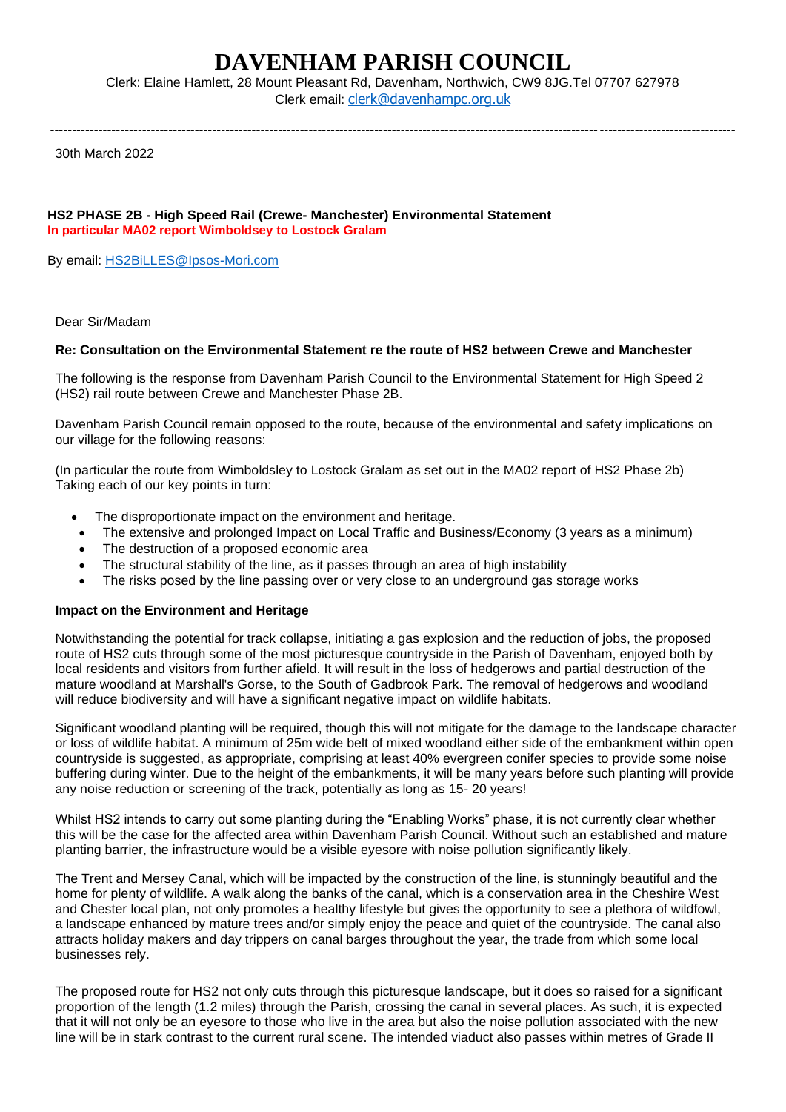# **DAVENHAM PARISH COUNCIL**

Clerk: Elaine Hamlett, 28 Mount Pleasant Rd, Davenham, Northwich, CW9 8JG.Tel 07707 627978 Clerk email: [clerk@davenhampc.org.uk](mailto:clerk@davenhampc.org.uk)

------------------------------------------------------------------------------------------------------------------------------------------------------------

30th March 2022

#### **HS2 PHASE 2B - High Speed Rail (Crewe- Manchester) Environmental Statement In particular MA02 report Wimboldsey to Lostock Gralam**

By email: [HS2BiLLES@Ipsos-Mori.com](mailto:HS2BiLLES@Ipsos-Mori.com)

Dear Sir/Madam

# **Re: Consultation on the Environmental Statement re the route of HS2 between Crewe and Manchester**

The following is the response from Davenham Parish Council to the Environmental Statement for High Speed 2 (HS2) rail route between Crewe and Manchester Phase 2B.

Davenham Parish Council remain opposed to the route, because of the environmental and safety implications on our village for the following reasons:

(In particular the route from Wimboldsley to Lostock Gralam as set out in the MA02 report of HS2 Phase 2b) Taking each of our key points in turn:

- The disproportionate impact on the environment and heritage.
- The extensive and prolonged Impact on Local Traffic and Business/Economy (3 years as a minimum)
- The destruction of a proposed economic area
- The structural stability of the line, as it passes through an area of high instability
- The risks posed by the line passing over or very close to an underground gas storage works

# **Impact on the Environment and Heritage**

Notwithstanding the potential for track collapse, initiating a gas explosion and the reduction of jobs, the proposed route of HS2 cuts through some of the most picturesque countryside in the Parish of Davenham, enjoyed both by local residents and visitors from further afield. It will result in the loss of hedgerows and partial destruction of the mature woodland at Marshall's Gorse, to the South of Gadbrook Park. The removal of hedgerows and woodland will reduce biodiversity and will have a significant negative impact on wildlife habitats.

Significant woodland planting will be required, though this will not mitigate for the damage to the landscape character or loss of wildlife habitat. A minimum of 25m wide belt of mixed woodland either side of the embankment within open countryside is suggested, as appropriate, comprising at least 40% evergreen conifer species to provide some noise buffering during winter. Due to the height of the embankments, it will be many years before such planting will provide any noise reduction or screening of the track, potentially as long as 15- 20 years!

Whilst HS2 intends to carry out some planting during the "Enabling Works" phase, it is not currently clear whether this will be the case for the affected area within Davenham Parish Council. Without such an established and mature planting barrier, the infrastructure would be a visible eyesore with noise pollution significantly likely.

The Trent and Mersey Canal, which will be impacted by the construction of the line, is stunningly beautiful and the home for plenty of wildlife. A walk along the banks of the canal, which is a conservation area in the Cheshire West and Chester local plan, not only promotes a healthy lifestyle but gives the opportunity to see a plethora of wildfowl, a landscape enhanced by mature trees and/or simply enjoy the peace and quiet of the countryside. The canal also attracts holiday makers and day trippers on canal barges throughout the year, the trade from which some local businesses rely.

The proposed route for HS2 not only cuts through this picturesque landscape, but it does so raised for a significant proportion of the length (1.2 miles) through the Parish, crossing the canal in several places. As such, it is expected that it will not only be an eyesore to those who live in the area but also the noise pollution associated with the new line will be in stark contrast to the current rural scene. The intended viaduct also passes within metres of Grade II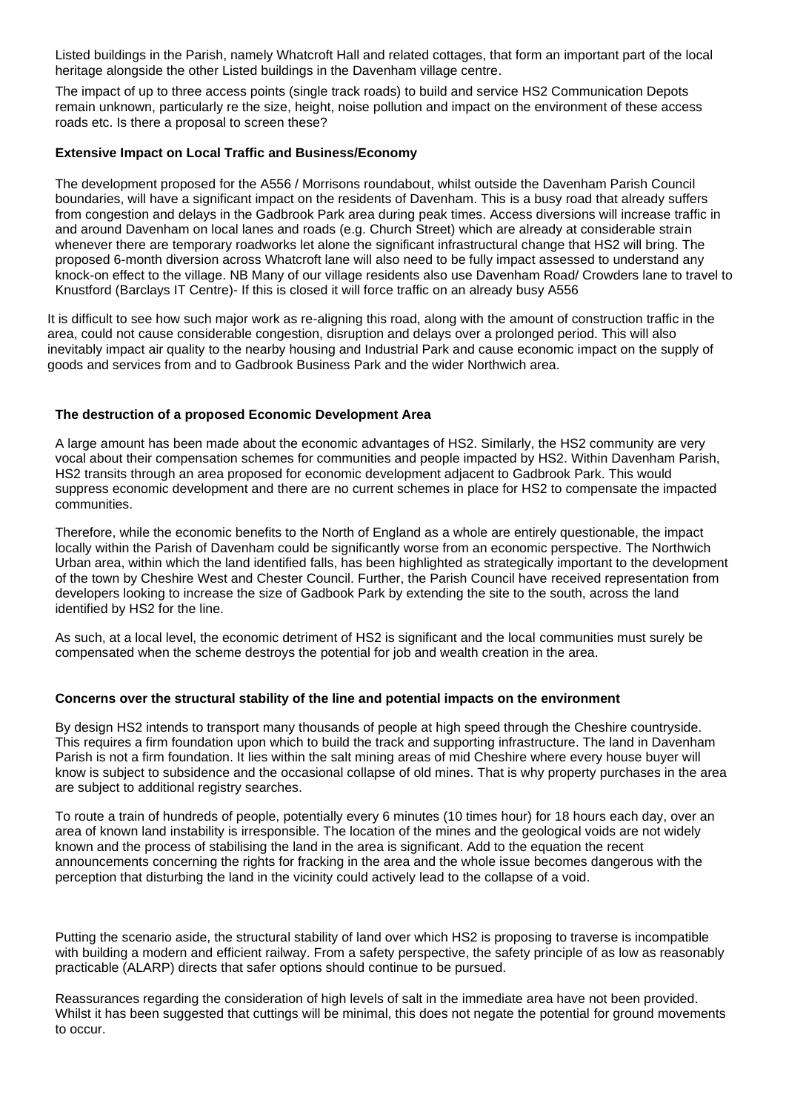Listed buildings in the Parish, namely Whatcroft Hall and related cottages, that form an important part of the local heritage alongside the other Listed buildings in the Davenham village centre.

The impact of up to three access points (single track roads) to build and service HS2 Communication Depots remain unknown, particularly re the size, height, noise pollution and impact on the environment of these access roads etc. Is there a proposal to screen these?

# **Extensive Impact on Local Traffic and Business/Economy**

The development proposed for the A556 / Morrisons roundabout, whilst outside the Davenham Parish Council boundaries, will have a significant impact on the residents of Davenham. This is a busy road that already suffers from congestion and delays in the Gadbrook Park area during peak times. Access diversions will increase traffic in and around Davenham on local lanes and roads (e.g. Church Street) which are already at considerable strain whenever there are temporary roadworks let alone the significant infrastructural change that HS2 will bring. The proposed 6-month diversion across Whatcroft lane will also need to be fully impact assessed to understand any knock-on effect to the village. NB Many of our village residents also use Davenham Road/ Crowders lane to travel to Knustford (Barclays IT Centre)- If this is closed it will force traffic on an already busy A556

It is difficult to see how such major work as re-aligning this road, along with the amount of construction traffic in the area, could not cause considerable congestion, disruption and delays over a prolonged period. This will also inevitably impact air quality to the nearby housing and Industrial Park and cause economic impact on the supply of goods and services from and to Gadbrook Business Park and the wider Northwich area.

#### **The destruction of a proposed Economic Development Area**

A large amount has been made about the economic advantages of HS2. Similarly, the HS2 community are very vocal about their compensation schemes for communities and people impacted by HS2. Within Davenham Parish, HS2 transits through an area proposed for economic development adjacent to Gadbrook Park. This would suppress economic development and there are no current schemes in place for HS2 to compensate the impacted communities.

Therefore, while the economic benefits to the North of England as a whole are entirely questionable, the impact locally within the Parish of Davenham could be significantly worse from an economic perspective. The Northwich Urban area, within which the land identified falls, has been highlighted as strategically important to the development of the town by Cheshire West and Chester Council. Further, the Parish Council have received representation from developers looking to increase the size of Gadbook Park by extending the site to the south, across the land identified by HS2 for the line.

As such, at a local level, the economic detriment of HS2 is significant and the local communities must surely be compensated when the scheme destroys the potential for job and wealth creation in the area.

#### **Concerns over the structural stability of the line and potential impacts on the environment**

By design HS2 intends to transport many thousands of people at high speed through the Cheshire countryside. This requires a firm foundation upon which to build the track and supporting infrastructure. The land in Davenham Parish is not a firm foundation. It lies within the salt mining areas of mid Cheshire where every house buyer will know is subject to subsidence and the occasional collapse of old mines. That is why property purchases in the area are subject to additional registry searches.

To route a train of hundreds of people, potentially every 6 minutes (10 times hour) for 18 hours each day, over an area of known land instability is irresponsible. The location of the mines and the geological voids are not widely known and the process of stabilising the land in the area is significant. Add to the equation the recent announcements concerning the rights for fracking in the area and the whole issue becomes dangerous with the perception that disturbing the land in the vicinity could actively lead to the collapse of a void.

Putting the scenario aside, the structural stability of land over which HS2 is proposing to traverse is incompatible with building a modern and efficient railway. From a safety perspective, the safety principle of as low as reasonably practicable (ALARP) directs that safer options should continue to be pursued.

Reassurances regarding the consideration of high levels of salt in the immediate area have not been provided. Whilst it has been suggested that cuttings will be minimal, this does not negate the potential for ground movements to occur.